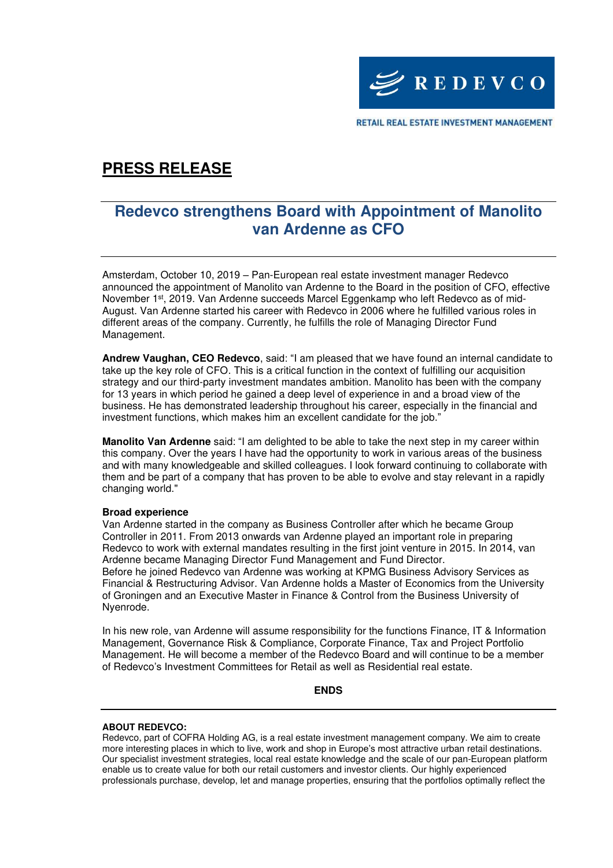

RETAIL REAL ESTATE INVESTMENT MANAGEMENT

# **PRESS RELEASE**

### **Redevco strengthens Board with Appointment of Manolito van Ardenne as CFO**

Amsterdam, October 10, 2019 – Pan-European real estate investment manager Redevco announced the appointment of Manolito van Ardenne to the Board in the position of CFO, effective November 1<sup>st</sup>, 2019. Van Ardenne succeeds Marcel Eggenkamp who left Redevco as of mid-August. Van Ardenne started his career with Redevco in 2006 where he fulfilled various roles in different areas of the company. Currently, he fulfills the role of Managing Director Fund Management.

**Andrew Vaughan, CEO Redevco**, said: "I am pleased that we have found an internal candidate to take up the key role of CFO. This is a critical function in the context of fulfilling our acquisition strategy and our third-party investment mandates ambition. Manolito has been with the company for 13 years in which period he gained a deep level of experience in and a broad view of the business. He has demonstrated leadership throughout his career, especially in the financial and investment functions, which makes him an excellent candidate for the job."

**Manolito Van Ardenne** said: "I am delighted to be able to take the next step in my career within this company. Over the years I have had the opportunity to work in various areas of the business and with many knowledgeable and skilled colleagues. I look forward continuing to collaborate with them and be part of a company that has proven to be able to evolve and stay relevant in a rapidly changing world."

#### **Broad experience**

Van Ardenne started in the company as Business Controller after which he became Group Controller in 2011. From 2013 onwards van Ardenne played an important role in preparing Redevco to work with external mandates resulting in the first joint venture in 2015. In 2014, van Ardenne became Managing Director Fund Management and Fund Director. Before he joined Redevco van Ardenne was working at KPMG Business Advisory Services as Financial & Restructuring Advisor. Van Ardenne holds a Master of Economics from the University of Groningen and an Executive Master in Finance & Control from the Business University of Nyenrode.

In his new role, van Ardenne will assume responsibility for the functions Finance, IT & Information Management, Governance Risk & Compliance, Corporate Finance, Tax and Project Portfolio Management. He will become a member of the Redevco Board and will continue to be a member of Redevco's Investment Committees for Retail as well as Residential real estate.

**ENDS** 

#### **ABOUT REDEVCO:**

Redevco, part of COFRA Holding AG, is a real estate investment management company. We aim to create more interesting places in which to live, work and shop in Europe's most attractive urban retail destinations. Our specialist investment strategies, local real estate knowledge and the scale of our pan-European platform enable us to create value for both our retail customers and investor clients. Our highly experienced professionals purchase, develop, let and manage properties, ensuring that the portfolios optimally reflect the